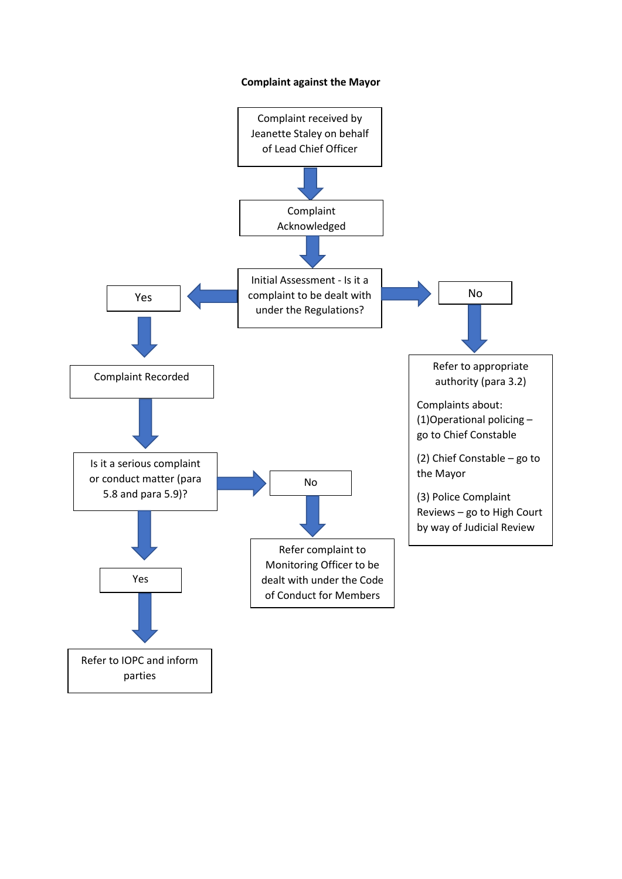## **Complaint against the Mayor**

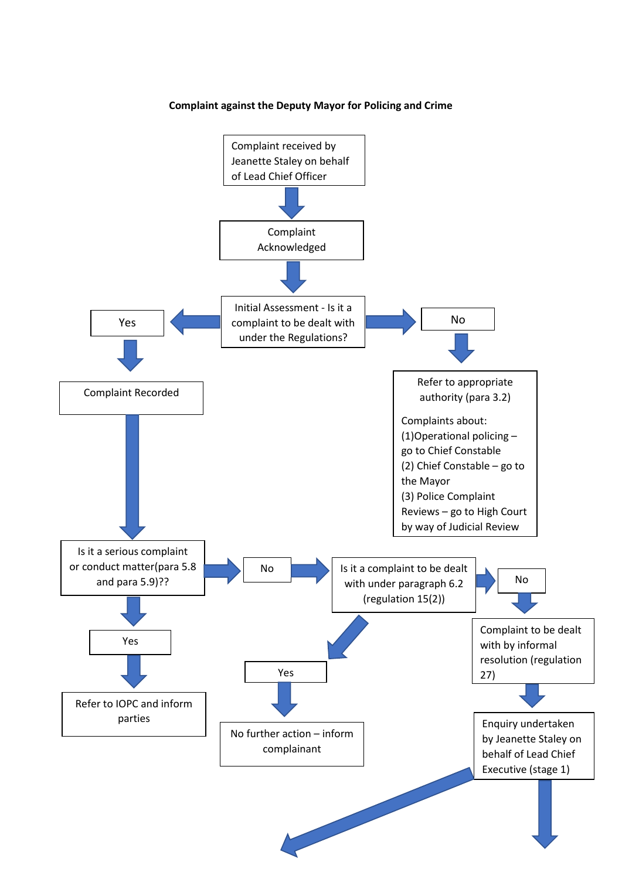## **Complaint against the Deputy Mayor for Policing and Crime**